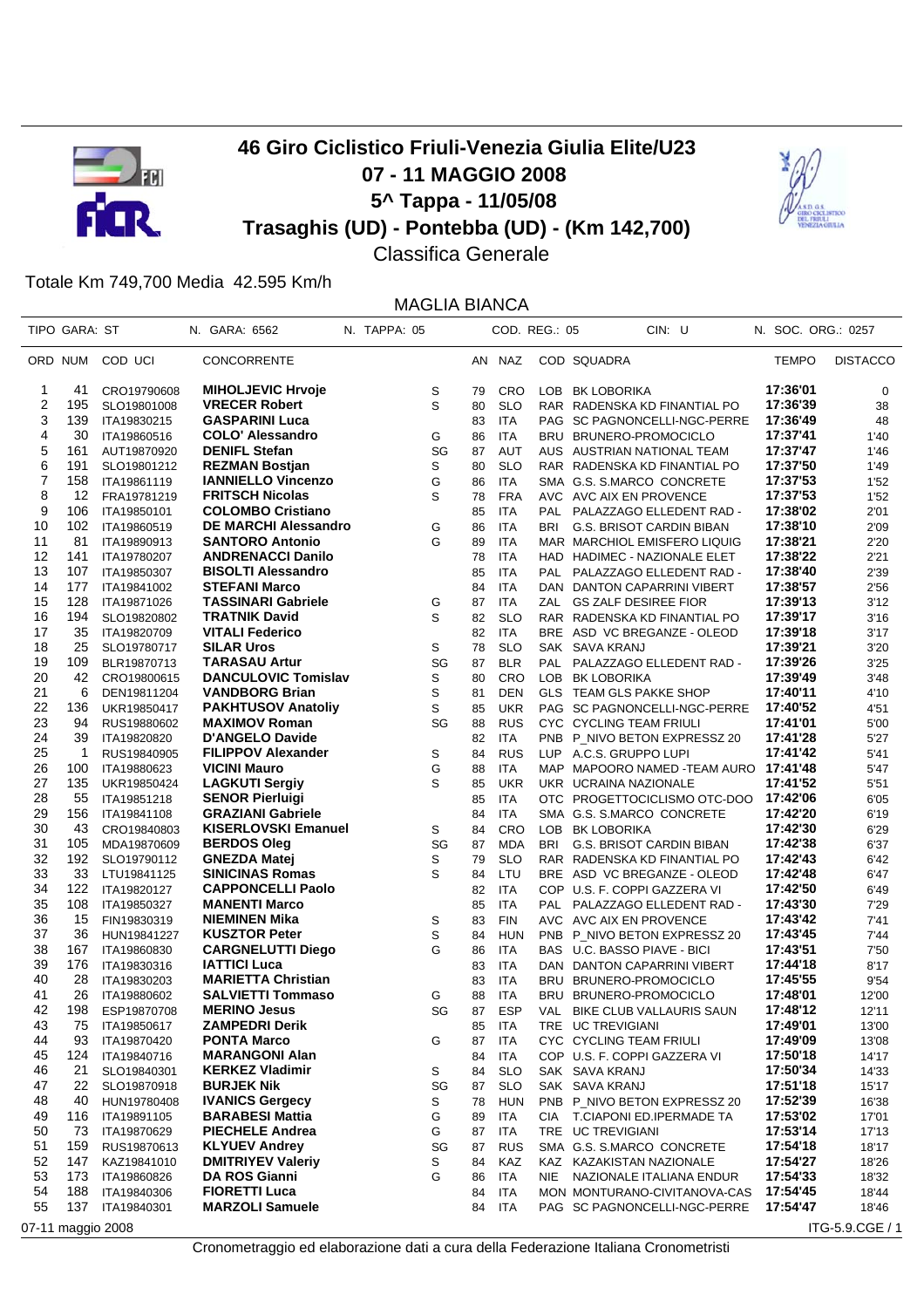

## **46 Giro Ciclistico Friuli-Venezia Giulia Elite/U23 07 - 11 MAGGIO 2008 5^ Tappa - 11/05/08 Trasaghis (UD) - Pontebba (UD) - (Km 142,700)**



Classifica Generale

## Totale Km 749,700 Media 42.595 Km/h

MAGLIA BIANCA TIPO GARA: ST N. GARA: 6562 N. TAPPA: 05 COD. REG.: 05 CIN: U N. SOC. ORG.: 0257 ORD NUM COD UCI CONCORRENTE AN NAZ COD SQUADRA TEMPO DISTACCO 1 41 CRO19790608 **MIHOLJEVIC Hrvoje** S 79 CRO LOB BK LOBORIKA **17:36'01** 0 2 195 SLO19801008 **VRECER Robert** S 80 SLO RAR RADENSKA KD FINANTIAL PO **17:36'39** 38 3 139 ITA19830215 **GASPARINI Luca** 83 ITA PAG SC PAGNONCELLI-NGC-PERRE **17:36'49** 48 4 30 ITA19860516 **COLO' Alessandro** G 86 ITA BRU BRUNERO-PROMOCICLO **17:37'41** 1'40 5 161 AUT19870920 **DENIFL Stefan** SG 87 AUT AUS AUSTRIAN NATIONAL TEAM **17:37'47** 1'46 6 191 SLO19801212 **REZMAN Bostjan** S 80 SLO RAR RADENSKA KD FINANTIAL PO **17:37'50** 1'49 7 158 ITA19861119 **IANNIELLO Vincenzo** G 86 ITA SMA G.S. S.MARCO CONCRETE **17:37'53** 1'52 8 12 FRA19781219 **FRITSCH Nicolas** S 78 FRA AVC AVC AIX EN PROVENCE **17:37'53** 1'52 9 106 ITA19850101 **COLOMBO Cristiano** 85 ITA PAL PALAZZAGO ELLEDENT RAD - **17:38'02** 2'01 10 102 ITA19860519 **DE MARCHI Alessandro** G 86 ITA BRI G.S. BRISOT CARDIN BIBAN **17:38'10** 2'09 11 81 ITA19890913 **SANTORO Antonio** G 89 ITA MAR MARCHIOL EMISFERO LIQUIG **17:38'21** 2'20 12 141 ITA19780207 **ANDRENACCI Danilo** 78 ITA HAD HADIMEC - NAZIONALE ELET **17:38'22** 2'21 13 107 ITA19850307 **BISOLTI Alessandro** 85 ITA PAL PALAZZAGO ELLEDENT RAD - **17:38'40** 2'39 14 177 ITA19841002 **STEFANI Marco** 84 ITA DAN DANTON CAPARRINI VIBERT **17:38'57** 2'56 15 128 ITA19871026 **TASSINARI Gabriele** G 87 ITA ZAL GS ZALF DESIREE FIOR **17:39'13** 3'12 16 194 SLO19820802 **TRATNIK David** S 82 SLO RAR RADENSKA KD FINANTIAL PO **17:39'17** 3'16 17 35 ITA19820709 **VITALI Federico** 82 ITA BRE ASD VC BREGANZE - OLEOD **17:39'18** 3'17 18 25 SLO19780717 **SILAR Uros** S 78 SLO SAK SAVA KRANJ **17:39'21** 3'20 19 109 BLR19870713 **TARASAU Artur** SG 87 BLR PAL PALAZZAGO ELLEDENT RAD - **17:39'26** 3'25 20 42 CRO19800615 **DANCULOVIC Tomislav** S 80 CRO LOB BK LOBORIKA **17:39'49** 3'48 21 6 DEN19811204 **VANDBORG Brian** S 81 DEN GLS TEAM GLS PAKKE SHOP **17:40'11** 4'10 22 136 UKR19850417 **PAKHTUSOV Anatoliy** S 85 UKR PAG SC PAGNONCELLI-NGC-PERRE **17:40'52** 4'51 23 94 RUS19880602 **MAXIMOV Roman** SG 88 RUS CYC CYCLING TEAM FRIULI **17:41'01** 5'00 24 39 ITA19820820 **D'ANGELO Davide** 82 ITA PNB P\_NIVO BETON EXPRESSZ 20 **17:41'28** 5'27 25 1 RUS19840905 **FILIPPOV Alexander** S 84 RUS LUP A.C.S. GRUPPO LUPI **17:41'42** 5'41 26 100 ITA19880623 **VICINI Mauro** G 88 ITA MAP MAPOORO NAMED -TEAM AURO **17:41'48** 5'47 27 135 UKR19850424 **LAGKUTI Sergiy** S 85 UKR UKR UCRAINA NAZIONALE **17:41'52** 5'51 28 55 ITA19851218 **SENOR Pierluigi** 85 ITA OTC PROGETTOCICLISMO OTC-DOO **17:42'06** 6'05 29 156 ITA19841108 **GRAZIANI Gabriele** 84 ITA SMA G.S. S.MARCO CONCRETE **17:42'20** 6'19 30 43 CRO19840803 **KISERLOVSKI Emanuel** S 84 CRO LOB BK LOBORIKA **17:42'30** 6'29 31 105 MDA19870609 **BERDOS Oleg** SG 87 MDA BRI G.S. BRISOT CARDIN BIBAN **17:42'38** 6'37 32 192 SLO19790112 **GNEZDA Matej** S 79 SLO RAR RADENSKA KD FINANTIAL PO **17:42'43** 6'42 33 33 LTU19841125 **SINICINAS Romas** S 84 LTU BRE ASD VC BREGANZE - OLEOD **17:42'48** 6'47 34 122 ITA19820127 **CAPPONCELLI Paolo** 82 ITA COP U.S. F. COPPI GAZZERA VI **17:42'50** 6'49 35 108 ITA19850327 **MANENTI Marco** 85 ITA PAL PALAZZAGO ELLEDENT RAD - **17:43'30** 7'29 36 15 FIN19830319 **NIEMINEN Mika** S 83 FIN AVC AVC AIX EN PROVENCE **17:43'42** 7'41 37 36 HUN19841227 **KUSZTOR Peter** S 84 HUN PNB P\_NIVO BETON EXPRESSZ 20 **17:43'45** 7'44 38 167 ITA19860830 **CARGNELUTTI Diego** G 86 ITA BAS U.C. BASSO PIAVE - BICI **17:43'51** 7'50 39 176 ITA19830316 **IATTICI Luca** 83 ITA DAN DANTON CAPARRINI VIBERT **17:44'18** 8'17 40 28 ITA19830203 **MARIETTA Christian** 83 ITA BRU BRUNERO-PROMOCICLO **17:45'55** 9'54 41 26 ITA19880602 **SALVIETTI Tommaso** G 88 ITA BRU BRUNERO-PROMOCICLO **17:48'01** 12'00 42 198 ESP19870708 **MERINO Jesus** SG 87 ESP VAL BIKE CLUB VALLAURIS SAUN **17:48'12** 12'11 43 75 ITA19850617 **ZAMPEDRI Derik** 85 ITA TRE UC TREVIGIANI **17:49'01** 13'00 44 93 ITA19870420 **PONTA Marco** G 87 ITA CYC CYCLING TEAM FRIULI **17:49'09** 13'08 45 124 ITA19840716 **MARANGONI Alan** 84 ITA COP U.S. F. COPPI GAZZERA VI **17:50'18** 14'17 46 21 SLO19840301 **KERKEZ Vladimir** S 84 SLO SAK SAVA KRANJ **17:50'34** 14'33 47 22 SLO19870918 **BURJEK Nik** SG 87 SLO SAK SAVA KRANJ **17:51'18** 15'17 48 40 HUN19780408 **IVANICS Gergecy** S 78 HUN PNB P\_NIVO BETON EXPRESSZ 20 **17:52'39** 16'38 49 116 ITA19891105 **BARABESI Mattia** G 89 ITA CIA T.CIAPONI ED.IPERMADE TA **17:53'02** 17'01 50 73 ITA19870629 **PIECHELE Andrea** G 87 ITA TRE UC TREVIGIANI **17:53'14** 17'13 51 159 RUS19870613 **KLYUEV Andrey** SG 87 RUS SMA G.S. S.MARCO CONCRETE **17:54'18** 18'17 52 147 KAZ19841010 **DMITRIYEV Valeriy** S 84 KAZ KAZ KAZAKISTAN NAZIONALE **17:54'27** 18'26 53 173 ITA19860826 **DA ROS Gianni** G 86 ITA NIE NAZIONALE ITALIANA ENDUR **17:54'33** 18'32 54 188 ITA19840306 **FIORETTI Luca** 84 ITA MON MONTURANO-CIVITANOVA-CAS **17:54'45** 18'44 55 137 ITA19840301 **MARZOLI Samuele** 84 ITA PAG SC PAGNONCELLI-NGC-PERRE **17:54'47** 18'46

07-11 maggio 2008 **ITG-5.9.CGE** / 1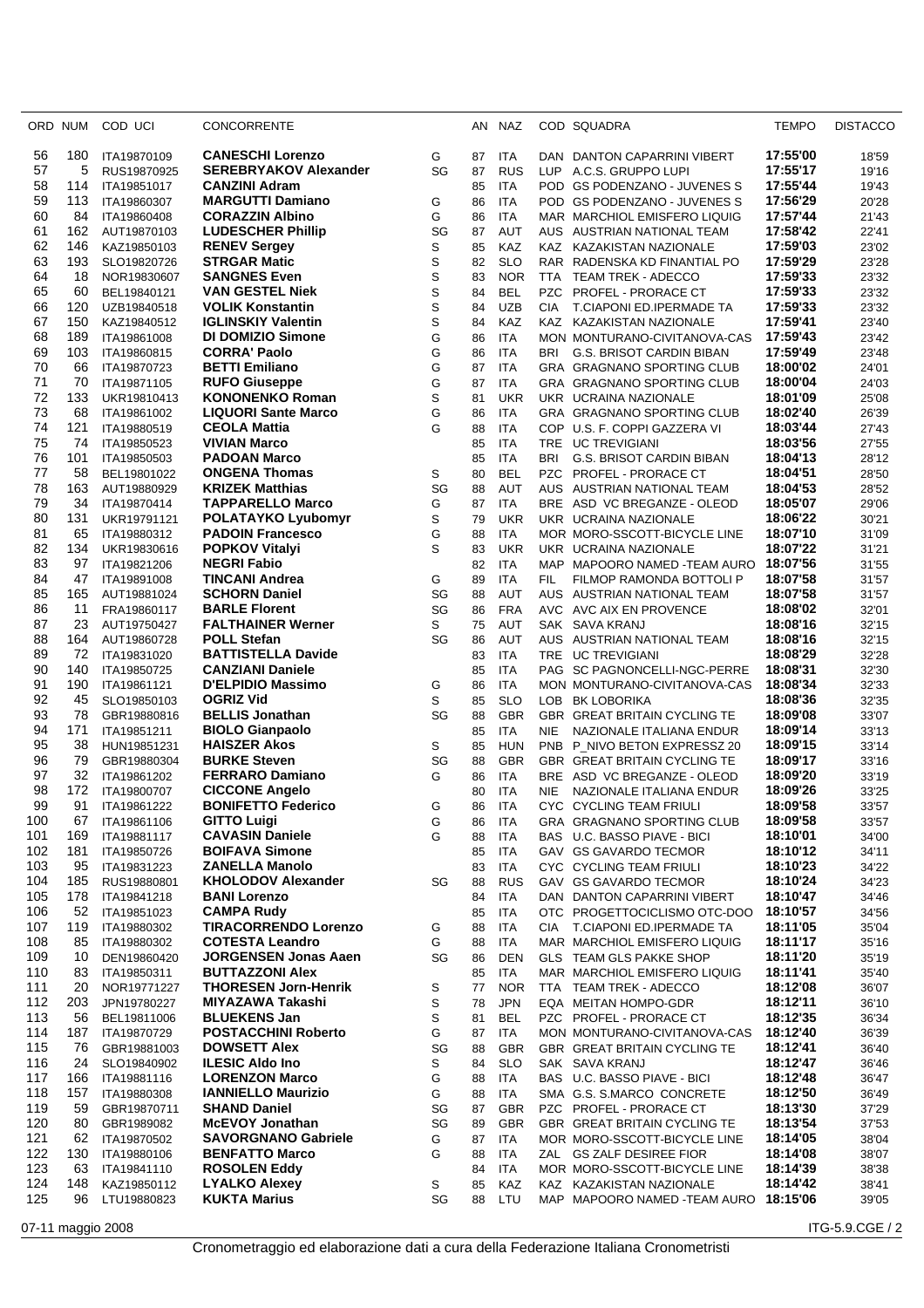| ORD        | NUM       | COD UCI                    | CONCORRENTE                                          |         | AN       | NAZ                      |                          | COD SQUADRA                                                  | <b>TEMPO</b>         | <b>DISTACCO</b> |
|------------|-----------|----------------------------|------------------------------------------------------|---------|----------|--------------------------|--------------------------|--------------------------------------------------------------|----------------------|-----------------|
| 56         | 180       | ITA19870109                | <b>CANESCHI Lorenzo</b>                              | G       | 87       | <b>ITA</b>               |                          | DAN DANTON CAPARRINI VIBERT                                  | 17:55'00             | 18'59           |
| 57         | 5         | RUS19870925                | <b>SEREBRYAKOV Alexander</b>                         | SG      | 87       | <b>RUS</b>               | LUP                      | A.C.S. GRUPPO LUPI                                           | 17:55'17             | 19'16           |
| 58         | 114       | ITA19851017                | <b>CANZINI Adram</b>                                 |         | 85       | <b>ITA</b>               |                          | POD GS PODENZANO - JUVENES S                                 | 17:55'44             | 19'43           |
| 59         | 113       | ITA19860307                | <b>MARGUTTI Damiano</b>                              | G       | 86       | <b>ITA</b>               |                          | POD GS PODENZANO - JUVENES S                                 | 17:56'29             | 20'28           |
| 60         | 84        | ITA19860408                | <b>CORAZZIN Albino</b>                               | G       | 86       | <b>ITA</b>               |                          | MAR MARCHIOL EMISFERO LIQUIG                                 | 17:57'44             | 21'43           |
| 61         | 162       | AUT19870103                | <b>LUDESCHER Phillip</b>                             | SG      | 87       | <b>AUT</b>               |                          | AUS AUSTRIAN NATIONAL TEAM                                   | 17:58'42             | 22'41           |
| 62         | 146       | KAZ19850103                | <b>RENEV Sergey</b>                                  | S       | 85       | KAZ                      |                          | KAZ KAZAKISTAN NAZIONALE                                     | 17:59'03             | 23'02           |
| 63         | 193       | SLO19820726                | <b>STRGAR Matic</b>                                  | S       | 82       | <b>SLO</b>               |                          | RAR RADENSKA KD FINANTIAL PO                                 | 17:59'29             | 23'28           |
| 64<br>65   | 18        | NOR19830607                | <b>SANGNES Even</b>                                  | S       | 83       | <b>NOR</b><br><b>BEL</b> | TTA                      | TEAM TREK - ADECCO                                           | 17:59'33             | 23'32           |
| 66         | 60<br>120 | BEL19840121<br>UZB19840518 | <b>VAN GESTEL Niek</b><br><b>VOLIK Konstantin</b>    | S<br>S  | 84<br>84 | <b>UZB</b>               | <b>PZC</b><br><b>CIA</b> | <b>PROFEL - PRORACE CT</b><br>T.CIAPONI ED.IPERMADE TA       | 17:59'33<br>17:59'33 | 23'32<br>23'32  |
| 67         | 150       | KAZ19840512                | <b>IGLINSKIY Valentin</b>                            | S       | 84       | KAZ                      | <b>KAZ</b>               | KAZAKISTAN NAZIONALE                                         | 17:59'41             | 23'40           |
| 68         | 189       | ITA19861008                | <b>DI DOMIZIO Simone</b>                             | G       | 86       | <b>ITA</b>               |                          | MON MONTURANO-CIVITANOVA-CAS                                 | 17:59'43             | 23'42           |
| 69         | 103       | ITA19860815                | <b>CORRA' Paolo</b>                                  | G       | 86       | <b>ITA</b>               | <b>BRI</b>               | <b>G.S. BRISOT CARDIN BIBAN</b>                              | 17:59'49             | 23'48           |
| 70         | 66        | ITA19870723                | <b>BETTI Emiliano</b>                                | G       | 87       | <b>ITA</b>               |                          | GRA GRAGNANO SPORTING CLUB                                   | 18:00'02             | 24'01           |
| 71         | 70        | ITA19871105                | <b>RUFO Giuseppe</b>                                 | G       | 87       | <b>ITA</b>               |                          | GRA GRAGNANO SPORTING CLUB                                   | 18:00'04             | 24'03           |
| 72         | 133       | UKR19810413                | <b>KONONENKO Roman</b>                               | S       | 81       | <b>UKR</b>               |                          | UKR UCRAINA NAZIONALE                                        | 18:01'09             | 25'08           |
| 73         | 68        | ITA19861002                | <b>LIQUORI Sante Marco</b>                           | G       | 86       | <b>ITA</b>               |                          | GRA GRAGNANO SPORTING CLUB                                   | 18:02'40             | 26'39           |
| 74         | 121       | ITA19880519                | <b>CEOLA Mattia</b>                                  | G       | 88       | <b>ITA</b>               |                          | COP U.S. F. COPPI GAZZERA VI                                 | 18:03'44             | 27'43           |
| 75         | 74        | ITA19850523                | <b>VIVIAN Marco</b>                                  |         | 85       | <b>ITA</b>               |                          | TRE UC TREVIGIANI                                            | 18:03'56             | 27'55           |
| 76<br>77   | 101       | ITA19850503                | <b>PADOAN Marco</b>                                  |         | 85       | <b>ITA</b>               | <b>BRI</b>               | <b>G.S. BRISOT CARDIN BIBAN</b>                              | 18:04'13             | 28'12           |
| 78         | 58<br>163 | BEL19801022                | <b>ONGENA Thomas</b><br><b>KRIZEK Matthias</b>       | S<br>SG | 80<br>88 | <b>BEL</b><br><b>AUT</b> | <b>AUS</b>               | PZC PROFEL - PRORACE CT<br>AUSTRIAN NATIONAL TEAM            | 18:04'51<br>18:04'53 | 28'50           |
| 79         | 34        | AUT19880929<br>ITA19870414 | <b>TAPPARELLO Marco</b>                              | G       | 87       | <b>ITA</b>               |                          | BRE ASD VC BREGANZE - OLEOD                                  | 18:05'07             | 28'52<br>29'06  |
| 80         | 131       | UKR19791121                | <b>POLATAYKO Lyubomyr</b>                            | S       | 79       | <b>UKR</b>               |                          | UKR UCRAINA NAZIONALE                                        | 18:06'22             | 30'21           |
| 81         | 65        | ITA19880312                | <b>PADOIN Francesco</b>                              | G       | 88       | <b>ITA</b>               |                          | MOR MORO-SSCOTT-BICYCLE LINE                                 | 18:07'10             | 31'09           |
| 82         | 134       | UKR19830616                | <b>POPKOV Vitalyi</b>                                | S       | 83       | <b>UKR</b>               |                          | UKR UCRAINA NAZIONALE                                        | 18:07'22             | 31'21           |
| 83         | 97        | ITA19821206                | <b>NEGRI Fabio</b>                                   |         | 82       | <b>ITA</b>               |                          | MAP MAPOORO NAMED -TEAM AURO                                 | 18:07'56             | 31'55           |
| 84         | 47        | ITA19891008                | <b>TINCANI Andrea</b>                                | G       | 89       | <b>ITA</b>               | FIL.                     | FILMOP RAMONDA BOTTOLI P                                     | 18:07'58             | 31'57           |
| 85         | 165       | AUT19881024                | <b>SCHORN Daniel</b>                                 | SG      | 88       | AUT                      |                          | AUS AUSTRIAN NATIONAL TEAM                                   | 18:07'58             | 31'57           |
| 86         | 11        | FRA19860117                | <b>BARLE Florent</b>                                 | SG      | 86       | <b>FRA</b>               |                          | AVC AVC AIX EN PROVENCE                                      | 18:08'02             | 32'01           |
| 87         | 23        | AUT19750427                | <b>FALTHAINER Werner</b>                             | S       | 75       | <b>AUT</b>               |                          | SAK SAVA KRANJ                                               | 18:08'16             | 32'15           |
| 88         | 164       | AUT19860728                | <b>POLL Stefan</b>                                   | SG      | 86       | <b>AUT</b>               |                          | AUS AUSTRIAN NATIONAL TEAM                                   | 18:08'16             | 32'15           |
| 89<br>90   | 72<br>140 | ITA19831020                | <b>BATTISTELLA Davide</b><br><b>CANZIANI Daniele</b> |         | 83<br>85 | <b>ITA</b><br><b>ITA</b> |                          | TRE UC TREVIGIANI                                            | 18:08'29<br>18:08'31 | 32'28           |
| 91         | 190       | ITA19850725<br>ITA19861121 | D'ELPIDIO Massimo                                    | G       | 86       | <b>ITA</b>               |                          | PAG SC PAGNONCELLI-NGC-PERRE<br>MON MONTURANO-CIVITANOVA-CAS | 18:08'34             | 32'30<br>32'33  |
| 92         | 45        | SLO19850103                | <b>OGRIZ Vid</b>                                     | S       | 85       | <b>SLO</b>               |                          | LOB BK LOBORIKA                                              | 18:08'36             | 32'35           |
| 93         | 78        | GBR19880816                | <b>BELLIS Jonathan</b>                               | SG      | 88       | <b>GBR</b>               |                          | GBR GREAT BRITAIN CYCLING TE                                 | 18:09'08             | 33'07           |
| 94         | 171       | ITA19851211                | <b>BIOLO Gianpaolo</b>                               |         | 85       | <b>ITA</b>               | <b>NIE</b>               | NAZIONALE ITALIANA ENDUR                                     | 18:09'14             | 33'13           |
| 95         | 38        | HUN19851231                | <b>HAISZER Akos</b>                                  | S       | 85       | <b>HUN</b>               | <b>PNB</b>               | P_NIVO BETON EXPRESSZ 20                                     | 18:09'15             | 33'14           |
| 96         | 79        | GBR19880304                | <b>BURKE Steven</b>                                  | SG      | 88       | <b>GBR</b>               |                          | GBR GREAT BRITAIN CYCLING TE                                 | 18:09'17             | 33'16           |
| 97         | 32        | ITA19861202                | <b>FERRARO Damiano</b>                               | G       | 86       | <b>ITA</b>               | <b>BRE</b>               | ASD VC BREGANZE - OLEOD                                      | 18:09'20             | 33'19           |
| 98         | 172       | ITA19800707                | <b>CICCONE Angelo</b>                                |         | 80       | <b>ITA</b>               | <b>NIE</b>               | NAZIONALE ITALIANA ENDUR                                     | 18:09'26             | 33'25           |
| 99         | 91        | ITA19861222                | <b>BONIFETTO Federico</b>                            | G       | 86       | <b>ITA</b>               |                          | CYC CYCLING TEAM FRIULI                                      | 18:09'58             | 33'57           |
| 100        | 67<br>169 | ITA19861106                | <b>GITTO Luigi</b><br><b>CAVASIN Daniele</b>         | G<br>G  | 86       | ITA                      |                          | GRA GRAGNANO SPORTING CLUB                                   | 18:09'58<br>18:10'01 | 33'57           |
| 101<br>102 | 181       | ITA19881117<br>ITA19850726 | <b>BOIFAVA Simone</b>                                |         | 88<br>85 | <b>ITA</b><br><b>ITA</b> |                          | BAS U.C. BASSO PIAVE - BICI<br>GAV GS GAVARDO TECMOR         | 18:10'12             | 34'00<br>34'11  |
| 103        | 95        | ITA19831223                | ZANELLA Manolo                                       |         | 83       | ITA                      |                          | CYC CYCLING TEAM FRIULI                                      | 18:10'23             | 34'22           |
| 104        | 185       | RUS19880801                | <b>KHOLODOV Alexander</b>                            | SG      | 88       | <b>RUS</b>               |                          | GAV GS GAVARDO TECMOR                                        | 18:10'24             | 34'23           |
| 105        | 178       | ITA19841218                | <b>BANI Lorenzo</b>                                  |         | 84       | <b>ITA</b>               |                          | DAN DANTON CAPARRINI VIBERT                                  | 18:10'47             | 34'46           |
| 106        | 52        | ITA19851023                | <b>CAMPA Rudy</b>                                    |         | 85       | ITA                      |                          | OTC PROGETTOCICLISMO OTC-DOO                                 | 18:10'57             | 34'56           |
| 107        | 119       | ITA19880302                | <b>TIRACORRENDO Lorenzo</b>                          | G       | 88       | <b>ITA</b>               | <b>CIA</b>               | T.CIAPONI ED.IPERMADE TA                                     | 18:11'05             | 35'04           |
| 108        | 85        | ITA19880302                | <b>COTESTA Leandro</b>                               | G       | 88       | <b>ITA</b>               |                          | MAR MARCHIOL EMISFERO LIQUIG                                 | 18:11'17             | 35'16           |
| 109        | 10        | DEN19860420                | <b>JORGENSEN Jonas Aaen</b>                          | SG      | 86       | <b>DEN</b>               |                          | GLS TEAM GLS PAKKE SHOP                                      | 18:11'20             | 35'19           |
| 110        | 83        | ITA19850311                | <b>BUTTAZZONI Alex</b>                               |         | 85       | ITA                      |                          | MAR MARCHIOL EMISFERO LIQUIG                                 | 18:11'41             | 35'40           |
| 111        | 20        | NOR19771227                | <b>THORESEN Jorn-Henrik</b>                          | S       | 77       | <b>NOR</b>               |                          | TTA TEAM TREK - ADECCO                                       | 18:12'08             | 36'07           |
| 112<br>113 | 203<br>56 | JPN19780227                | <b>MIYAZAWA Takashi</b><br><b>BLUEKENS Jan</b>       | S       | 78       | <b>JPN</b><br><b>BEL</b> |                          | EQA MEITAN HOMPO-GDR                                         | 18:12'11<br>18:12'35 | 36'10           |
| 114        | 187       | BEL19811006<br>ITA19870729 | <b>POSTACCHINI Roberto</b>                           | S<br>G  | 81<br>87 | <b>ITA</b>               |                          | PZC PROFEL - PRORACE CT<br>MON MONTURANO-CIVITANOVA-CAS      | 18:12'40             | 36'34<br>36'39  |
| 115        | 76        | GBR19881003                | <b>DOWSETT Alex</b>                                  | SG      | 88       | <b>GBR</b>               |                          | GBR GREAT BRITAIN CYCLING TE                                 | 18:12'41             | 36'40           |
| 116        | 24        | SLO19840902                | <b>ILESIC Aldo Ino</b>                               | S       | 84       | <b>SLO</b>               |                          | SAK SAVA KRANJ                                               | 18:12'47             | 36'46           |
| 117        | 166       | ITA19881116                | <b>LORENZON Marco</b>                                | G       | 88       | <b>ITA</b>               |                          | BAS U.C. BASSO PIAVE - BICI                                  | 18:12'48             | 36'47           |
| 118        | 157       | ITA19880308                | <b>IANNIELLO Maurizio</b>                            | G       | 88       | <b>ITA</b>               |                          | SMA G.S. S.MARCO CONCRETE                                    | 18:12'50             | 36'49           |
| 119        | 59        | GBR19870711                | <b>SHAND Daniel</b>                                  | SG      | 87       | <b>GBR</b>               |                          | PZC PROFEL - PRORACE CT                                      | 18:13'30             | 37'29           |
| 120        | 80        | GBR1989082                 | <b>McEVOY Jonathan</b>                               | SG      | 89       | <b>GBR</b>               |                          | GBR GREAT BRITAIN CYCLING TE                                 | 18:13'54             | 37'53           |
| 121        | 62        | ITA19870502                | <b>SAVORGNANO Gabriele</b>                           | G       | 87       | <b>ITA</b>               |                          | MOR MORO-SSCOTT-BICYCLE LINE                                 | 18:14'05             | 38'04           |
| 122        | 130       | ITA19880106                | <b>BENFATTO Marco</b>                                | G       | 88       | <b>ITA</b>               | ZAL                      | <b>GS ZALF DESIREE FIOR</b>                                  | 18:14'08             | 38'07           |
| 123<br>124 | 63<br>148 | ITA19841110<br>KAZ19850112 | <b>ROSOLEN Eddy</b><br><b>LYALKO Alexey</b>          | S       | 84<br>85 | <b>ITA</b><br>KAZ        |                          | MOR MORO-SSCOTT-BICYCLE LINE<br>KAZ KAZAKISTAN NAZIONALE     | 18:14'39<br>18:14'42 | 38'38<br>38'41  |
| 125        | 96        | LTU19880823                | <b>KUKTA Marius</b>                                  | SG      | 88       | LTU                      |                          | MAP MAPOORO NAMED -TEAM AURO 18:15'06                        |                      | 39'05           |
|            |           |                            |                                                      |         |          |                          |                          |                                                              |                      |                 |